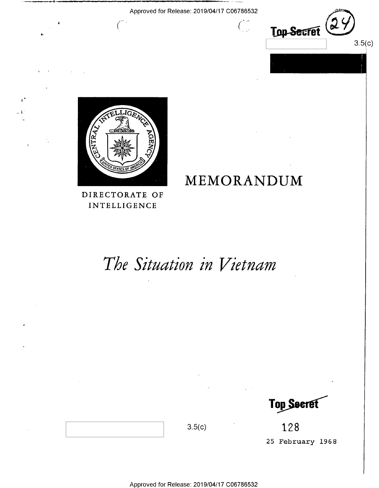Approved for Release: 2019/04/17 C06786532

 $\int_{-\infty}^{\infty}$ 

MEMORANDUM





Ĺ

DIRECTORATE OF INTELLIGENCE

# The Situation in Vietnam

Top Secret

128 25 February 1968

Approved for Release: 2019/04/17 C06786532

 $3.5(c)$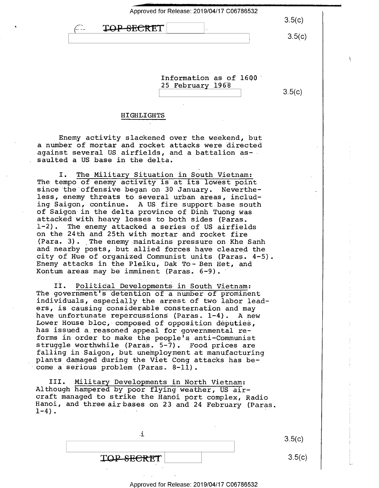| Approved for Release: 2019/04/17 C06786532<br><del>ОР ЯГСРТ</del><br>$\bullet$ | 3.5(c)<br>3.5(c) |
|--------------------------------------------------------------------------------|------------------|
| Information as of 1600<br>25 February 1968<br>HIGHLIGHTS                       | 3.5(c)           |

Enemy activity slackened over the weekend, but a number of mortar and rocket attacks were directed against several US airfields, and a battalion as- saulted a US base in the delta.

I. The Military Situation in South Vietnam: The tempo of enemy activity is at its lowest point since the offensive began on 30 January. Nevertheless, enemy threats to several urban areas, includ-<br>ing Saigon, continue. A US fire support base south of Saigon in the delta province of Dinh Tuong was<br>attacked with heavy losses to both sides (Paras.<br>1-2). The enemy attacked a series of US airfields on the 24th and 25th with mortar and rocket fire (Para. 3). The enemy maintains pressure on Khe Sanh and nearby posts, but allied forces have cleared the city of Hue of organized Communist units (Paras. 4-5) Enemy attacks in the Pleiku, Dak To- Ben Het, and Kontum areas may be imminent (Paras. 6-9).

II. Political Developments in South Vietnam: The government's detention of a number of prominent individuals, especially the arrest of two labor leaders, is causing considerable consternation and may<br>have unfortunate repercussions (Paras. 1-4). A new Lower House bloc, composed of opposition deputies, has issued a reasoned appeal for governmental reforms in order to make the people's anti-Communist<br>struggle worthwhile (Paras. 5-7). Food prices are<br>falling in Saigon, but unemployment at manufacturing plants damaged during the Viet Cong attacks has become a serious problem (Paras. 8—ll).

III. Military Developments in North Vietnam:<br>Although hampered by poor flying weather, US air-<br>craft managed to strike the Hanoi port complex, Radio<br>Hanoi, and three airbases on 23 and 24 February (Para<br>1-4). Hanoi, and three air bases on 23 and 24 February (Paras.

| <b>TOP-SECRET</b> |  |
|-------------------|--|

 $3.5(c)$ 

 $3.5(c)$ 

#### Approved for Release: 2019/04/17 C06786532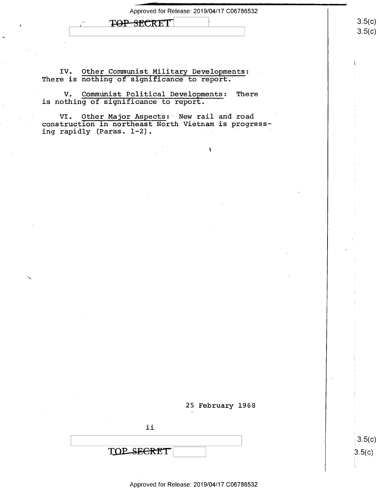| Approved for Release: 2019/04/17 C06786532 |  |
|--------------------------------------------|--|
|--------------------------------------------|--|

 $\lambda$ 

TOP SECRET

IY.. Qther\_Communist Military Developments: There is nothing of significance to report.

V. Communist Political Developments: There is nothing of significance to report.

VI. Other Major Aspects: New rail and road construction in northeast North Vietnam is progressing rapidly (Paras. 1-2).



 $3.5(c)$  $3.5(c)$ 

Approved for Release: 2019/04/17 C06786532

 $3.5(c)$  $3.5$ (c)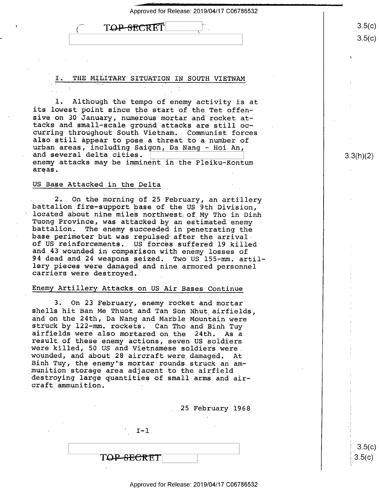TOP SECRET

#### THE MILITARY SITUATION IN SOUTH VIETNAM

l. Although the tempo of enemy activity is at its lowest point since the start of the Tet offensive on 30 January, numerous mortar and rocket attacks and small-scale ground attacks are still oc- 'curring throughout South Vietnam, Communist forces urban areas, including Saigon, Da Nang - Hoi An, and several delta cities. enemy attacks may be imminent in the Pleiku—Kontum areas.

#### US Base Attacked in the Delta

2. On the morning of 25 February, an artillery<br>battalion fire-support base of the US 9th Division,<br>located about nine miles northwest of My Tho in Dinh<br>Tuong Province, was attacked by an estimated enemy<br>battalion. The enem 94 dead and 24 weapons seized, Two US 155-mm. artillery pieces were damaged and nine armored personnel carriers were destroyed.

#### Enemy Artillery Attacks on US Air Bases Continue

3. On 23 February, enemy rocket and mortar shells hit Ban Me Thuot and Tan Son Nhut airfields, and on the 24th, Da Nang and Marble Mountain were struck by 122-mm. rockets. Can Tho and Binh Tuy<br>airfields were also mortared on the 24th. As a<br>result of these enemy actions, seven US soldiers<br>were killed, 50 US and Vietnamese soldiers were<br>wounded, and about 28 aircraft wounded, and about 28 aircraft were damaged. At Binh Tuy, the enemy's mortar rounds struck an am-<br>munition storage area adjacent to the airfield destroying large quantities of small arms and aircraft ammunition. -

25 February 1968

 $I - 1$ T<del>QP SECRE</del>T

 $3.5(c)$  $3.5(c)$ 

Approved for Release: 2019/04/17 C06786532

 $3.5(c)$  $3.5 (c)$ 

3.3(h)(2)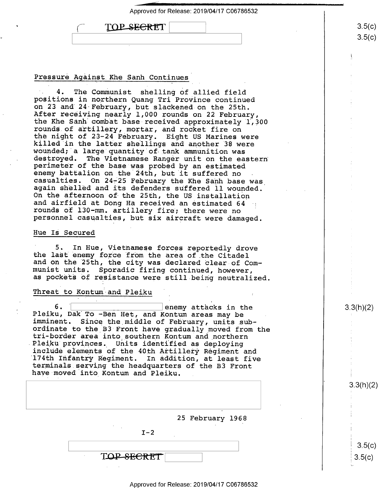| Approved for Release: 2019/04/17 C06786532 |  |  |
|--------------------------------------------|--|--|
| TOP SECRET                                 |  |  |
|                                            |  |  |

#### Pressure Against Khe Sanh Continues

4. The Communist shelling of allied field<br>positions in northern Quang Tri Province continued<br>on 23 and 24 February, but slackened on the 25th. After receiving nearly 1,000 rounds on 22 February,<br>the Khe Sanh combat base-received approximately 1,300<br>rounds of artillery, mortar, and rocket fire on<br>the night of 23-24 February. Eight US Marines were killed in the latter shellings and another 38 were wounded; a large quantity of tank ammunition was destroyed. The Vietnamese Ranger unit on the eastern perimeter of the base was probed by an estimated enemy battalion on the 24th, but it suffered no casualties. On 24-25 February the Khe Sanh base was again shelled and its defenders suffered ll wounded.<br>On the afternoon of the 25th, the US installation<br>and airfield at Dong Ha received an estimated 64 rounds of 130-mm. artillery fire; there were no personnel casualties, but six aircraft were damaged.

#### Hue Is Secured

5. In Hue, Vietnamese forces reportedly drove the last enemy force from the area of the Citadel and on the 25th, the city was declared clear of Com- munist units. Sporadic firing continued, however, as pockets of resistance were still being neutralized.

#### Threat to Kontum and Pleiku

6. W Remy attacks in the Pleiku, Dak To -Ben Het, and Kontum areas may be imminent. Since the middle of February, units subordinate to the B3 Front have gradually moved from the<br>tri-border area into southern Kontum and northern<br>Pleiku provinces. Units identified as deploying<br>include elements of the 40th Artillery Regiment and<br>174th Infantry Re

| $\bullet$<br>25 February 1968<br>٠<br>$\sim$<br>$\cdot$<br>$I - 2$ |            |  |
|--------------------------------------------------------------------|------------|--|
|                                                                    |            |  |
|                                                                    |            |  |
|                                                                    | TOP SECRET |  |

3.3(h)(2)

K

 $3.5(c)$  $3.5 (c)$ 

3.3(h)(2)

 $3.5(c)$  $3.5(c)$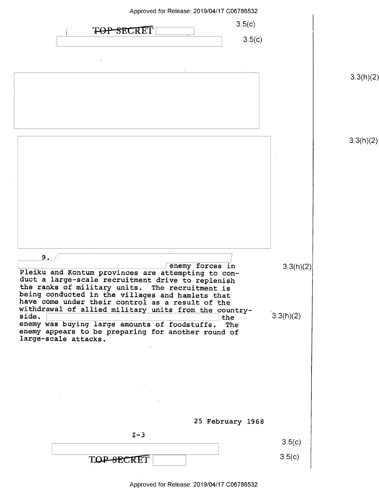| Approved for Release: 2019/04/17 C06786532                                                                                 |           |           |
|----------------------------------------------------------------------------------------------------------------------------|-----------|-----------|
| 3.5(c)<br>TOP SECRET                                                                                                       |           |           |
| 3.5(c)                                                                                                                     |           |           |
|                                                                                                                            |           |           |
|                                                                                                                            |           | 3.3(h)(2) |
|                                                                                                                            |           |           |
|                                                                                                                            |           |           |
|                                                                                                                            |           |           |
|                                                                                                                            |           | 3.3(h)(2) |
|                                                                                                                            |           |           |
|                                                                                                                            |           |           |
|                                                                                                                            |           |           |
|                                                                                                                            |           |           |
|                                                                                                                            |           |           |
|                                                                                                                            |           |           |
| 9.                                                                                                                         |           |           |
| enemy forces in<br>Pleiku and Kontum provinces are attempting to con-<br>duct a large-scale recruitment drive to replenish | 3.3(h)(2) |           |
| the ranks of military units. The recruitment is<br>being conducted in the villages and hamlets that                        |           |           |
| have come under their control as a result of the<br>withdrawal of allied military units from the country-                  |           |           |
| side.<br>the<br>enemy was buying large amounts of foodstuffs.<br>The                                                       | 3.3(h)(2) |           |
| enemy appears to be preparing for another round of<br>large-scale attacks.                                                 |           |           |
|                                                                                                                            |           |           |
|                                                                                                                            |           |           |
|                                                                                                                            |           |           |
|                                                                                                                            |           |           |
| 25 February 1968                                                                                                           |           |           |
| $I-3$                                                                                                                      |           |           |
|                                                                                                                            | 3.5(c)    |           |
| TOP-SECRET                                                                                                                 | 3.5(c)    |           |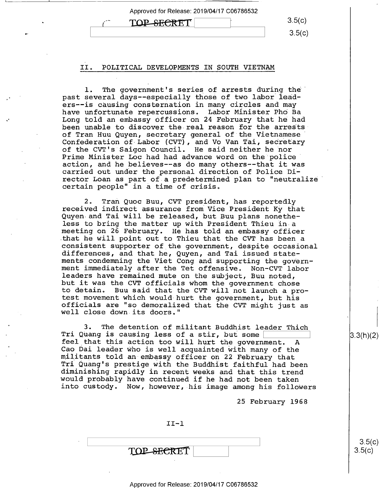Approved for Release: 2019/04/17 C06786532  $\begin{array}{cc}\n\textbf{TOP-SEERET} & \text{3.5(c)} \\
\hline\n3.5(c)\n\end{array}$ .  $\sim$  3.5(c)

#### II. POLITICAL DEVELOPMENTS IN SOUTH VIETNAM

l. The government's series of arrests during the' past several days--especially those of two labor leaders—-is causing consternation in many circles and may have unfortunate repercussions. Labor Minister Pho Ba Long told an embassy officer on 24 February that he had been unable to discover the real reason for the arrestsof Tran Huu Quyen, secretary general of the Vietnamese' Confederation of-Labor (CVT), and Vo Van Tai, secretary of the CVT's Saigon Council. He said neither he nor Prime Minister Loc had had advance word on the police<br>action, and he believes--as do many others--that it was carried out under the personal direction of Police Director Loan as part of-a predetermined plan to "neutralize certain people" in a time of crisis.

2. Tran Quoc Buu, CVT president, has reportedly received indirect assurance from Vice President Ky that Quyen and Tai will be released, but Buu plans nonethe-<br>less to bring the matter up with President Thieu in a meeting on 26 February. He has told an embassy officer<br>that he will point out to Thieu that the CVT has been a consistent supporter of the government, despite occasional<br>differences, and that he, Quyen, and Tai issued state-<br>ments condemning the Viet Cong and supporting the government immediately after the Tet offensive. Non-CVT labor<br>leaders have remained mute on the subject, Buu noted,<br>but it was the CVT officials whom the government chose<br>to detain. Buu said that the CVT will not launch a pro-<br>t officials are "so demoralized that the CVT might just as well close down its doors."

3. The detention of militant Buddhist leader Thich<br>Tri Quang is causing less of a stir, but some [<br>feel that this action too will hurt the government. A<br>Cao Dai leader who is well acquainted with many of the<br>militants told Tri Quang's prestige with the Buddhist faithful had been<br>diminishing rapidly in recent weeks and that this trend<br>would probably have continued if he had not been taken into custody. Now, however, his image among his followers

25 February 1968

| $II-1$     |  |
|------------|--|
|            |  |
| TOP SECRET |  |

 $3.5(c)$  $3.5(c)$ 

I

3.3(h)(2)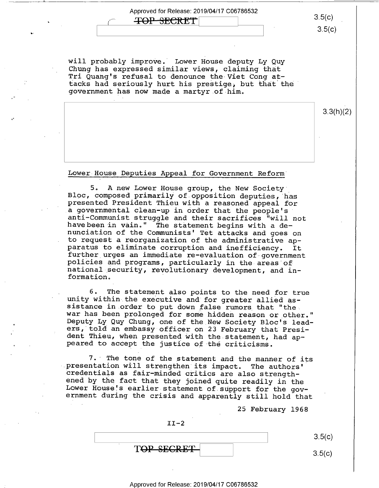## $\overrightarrow{4}$  498 SECRET 3.5(c)

 $\overline{\phantom{a}}$ 

 $3.5(c)$ 

will probably improve. Lower House deputy Ly Quy<br>Chung has expressed similar views, claiming that<br>Tri Quang's refusal to denounce the Viet Cong at-<br>tacks had seriously hurt his prestige, but that the government has now made a martyr.of-him.

3.3(h)(2)

Lower House Deputies Appeal for Government Reform

5. A new Lower House group, the New Society<br>Bloc, composed primarily of opposition deputies, has presented President Thieu with a reasoned appeal for a governmental clean-up in order that the people's anti-Communist struggle and their sacrifices "will not have been in vain." The statement begins with a de-<br>nunciation of the Communists' Tet attacks and goes on<br>to request a reorganization of the administrative ap-<br>paratus further urges an immediate re-evaluation of government<br>policies and programs, particularly in the areas of<br>national security, revolutionary development, and in-<br>formation.

6. The statement also points to the need for true<br>unity within the executive and for greater allied as-<br>sistance in order to put down false rumors that "the<br>war has been prolonged for some hidden reason or other."<br>Deputy L

7. The tone of the statement and the manner of its<br>presentation will strengthen its impact. The authors'<br>credentials as fair-minded critics are also strength-<br>ened by the fact that they joined quite readily in the<br>Lower Ho

25 February 1968

 $II-2$  $\vert$  s.5(c) TOP SECRET  $3.5(c)$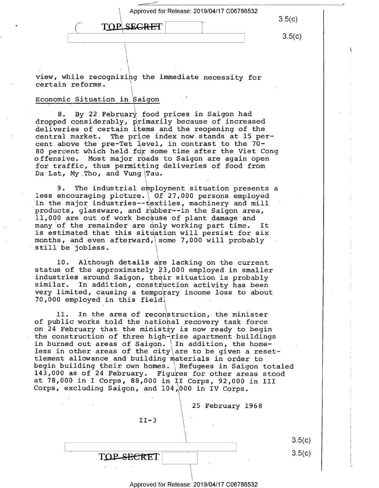Approved for Release: 2019/04/17 C06786532

 $\frac{\rm S.5(G)}{\rm S.5(G)}$ 

 $3.5(c)$  $\overbrace{C}$  TOP SEGRET  $\overline{C}$  5.5(c)

 $\ddot{ }$ 

view, while recognizing the immediate necessity for certain reforms.

 $\rightarrow$ 

#### Economic Situation in Saigon

8. By 22 February food prices in Saigon had dropped considerably, primarily because of increased deliveries of certain items and the reopening of the central market. The price index now stands at  $15$  percent above the pre-Tet level, in contrast to the 70-80 percent which held for some time after the Viet Cong offensive. Most major rbads to Saigon are again open for traffic, thus permitting deliveries of food from Da Lat, My Tho, and Vung\Tau.

9. The industrial employment situation presents a less encouraging picture. 0f 27,000 persons employed in the major industries--textiles, machinery and mill products, glassware, and rubber--in the Saigon area, ll,000 are out of work because of plant damage and many of the remainder are only working part time. It is estimated that this situation will persist for six months, and even afterward, some 7,000 will probably still be jobless.

l0. Although details are lacking on the current status of the approximately 83,000 employed in smaller industries around Saigon, their situation is probably similar. In addition, construction activity has been very limited, causing a temporary income loss to about 70,000 employed in this field.

11. In the area of reconstruction, the minister of public works told the national recovery task force on $-24$  February that the ministry is now ready to begin the construction of three high-rise apartment buildings in burned out areas of Saigon.  $\ln$  addition, the homeless in other areas of the city are to be given a reset-<br>tlement allowance and building materials in order to begin building their own homes. \Refugees in Saigon totaled<br>143,000 as of 24 February. Figures for other areas stood<br>at 78,000 in I Corps, 88,000 in II Corps, 92,000 in III Corps, excluding Saigon, and 104,000 in IV Corps.

> 25 February 1968  $II-3$ \. \  $3.5(c)$  $3.5(c)$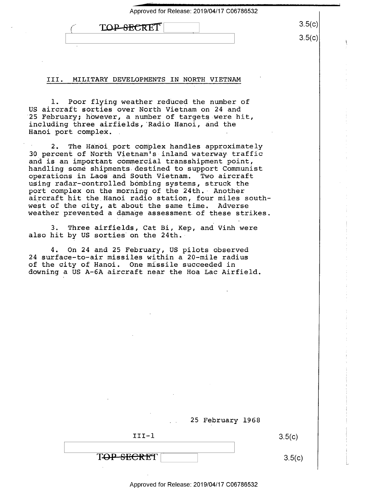| TOP-SECRET |  |
|------------|--|
|            |  |
|            |  |

၁.၁(၄)

 $3.5(c)$ 

#### III. MILI TARY DEVELOPMENTS IN NORTH VIETNAM

l. Poor flying weather reduced the number of US aircraft sorties over North Vietnam on 24 and 25 February; however, a number of targets were hit, including three airfields, Radio Hanoi, and the Hanoi port complex.

2. The Hanoi port complex handles approximately 30 percent of North Vietnam's-inland waterway traffic and is an important commercial transshipment point,<br>handling some shipments destined to support Communist operations in Laos and South Vietnam. Two aircraft using radar-controlled bombing systems, struck the port complex on the morning of the 24th. Another aircraft hit the Hanoi radio station, four miles southwest of the city, at about the same time. Adverse<br>weather prevented a damage assessment of these strikes. and is an important commercial transshipment point, west of the city, at about the same time. Adverse

3. Three airfields, Cat Bi, Kep, and Vinh were also hit by US sorties on the 24th.

4. On 24 and 25 February, US pilots observed 24 surface-to-air missiles within a 20-mile radius of the city of Hanoi. One missile succeeded in<br>downing a US A-6A aircraft near the Hoa Lac Airfield<mark>.</mark>

| 25 February 1968 |        |
|------------------|--------|
| $III-1$          | 3.5(c) |
| TOP SECRET       | 3.5(c) |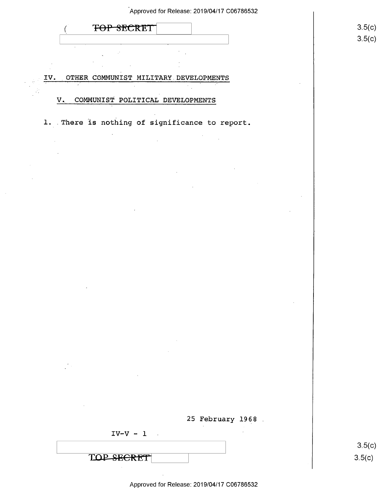| Approved for Release: 2019/04/17 C06786532                                          |        |
|-------------------------------------------------------------------------------------|--------|
| TOP SECRET                                                                          | 3.5(c) |
|                                                                                     | 3.5(c) |
|                                                                                     |        |
| OTHER COMMUNIST MILITARY DEVELOPMENTS<br>IV.                                        |        |
|                                                                                     |        |
| COMMUNIST POLITICAL DEVELOPMENTS<br>$V_{\bullet}$                                   |        |
| 1. There is nothing of significance to report.                                      |        |
|                                                                                     |        |
|                                                                                     |        |
|                                                                                     |        |
|                                                                                     |        |
|                                                                                     |        |
|                                                                                     |        |
|                                                                                     |        |
|                                                                                     |        |
|                                                                                     |        |
|                                                                                     |        |
| $\sim$                                                                              |        |
|                                                                                     |        |
|                                                                                     |        |
| the control of the state of the control of                                          |        |
| $\sim$<br>$\mathcal{L}^{\text{max}}_{\text{max}}$                                   |        |
| the control of the state of the con-                                                |        |
|                                                                                     |        |
| $\mathcal{L}^{\text{max}}_{\text{max}}$ and $\mathcal{L}^{\text{max}}_{\text{max}}$ |        |
| 25 February 1968                                                                    |        |
| $IV-V - 1$                                                                          | 3.5(c) |
| TOP SECRET                                                                          | 3.5(c) |
|                                                                                     |        |

 $\sim 10^7$ 

 $\sim$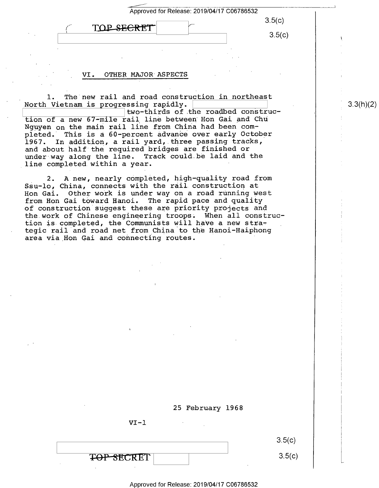| Approved for Release: 2019/04/17 C06786532 |                  |  |
|--------------------------------------------|------------------|--|
| TOP SECRET                                 | 3.5(c)<br>3.5(c) |  |
|                                            |                  |  |

#### VI. OTHER MAJOR ASPECTS

l. The new rail and road construction in northeast North Vietnam is progressing rapidly.

two-thirds of the roadbed construction of a new 67-mile rail line between Hon Gai and Chu Nguyen on the main rail line from China had been completed. This is a 60-percent advance over early October 1967. In addition, a rail yard, three passing tracks, and about half the required bridges are finished or under way along the line. Track could be laid and the line completed.within a year.

2. A new, nearly completed, high—quality road from Ssu—lo, China, connects with the rail.construction at Hon Gai. Other work is under way on a road running west from Hon Gai toward Hanoi. The rapid pace and quality of construction suggest these are priority projects and the.work of Chinese engineering troops; When all construction is completed, the Communists will have a new strategic rail and road net from\_China to the Hanoi—Haiphong area via Hon Gai and connecting routes.



L

 $3.3(h)(2)$ 



 $VI-1$ 

#### Approved for Release: 2019/04/17 C06786532